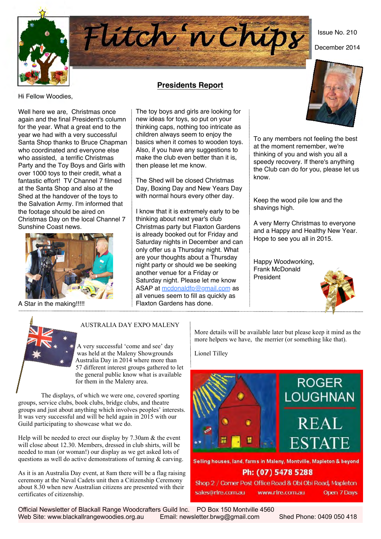

### **Presidents Report**

Hi Fellow Woodies,

Well here we are. Christmas once again and the final President's column for the year. What a great end to the year we had with a very successful Santa Shop thanks to Bruce Chapman who coordinated and everyone else who assisted, a terrific Christmas Party and the Toy Boys and Girls with over 1000 toys to their credit, what a fantastic effort! TV Channel 7 filmed at the Santa Shop and also at the Shed at the handover of the toys to the Salvation Army. I'm informed that the footage should be aired on Christmas Day on the local Channel 7 Sunshine Coast news.



A Star in the making!!!!!

### The toy boys and girls are looking for new ideas for toys, so put on your thinking caps, nothing too intricate as children always seem to enjoy the basics when it comes to wooden toys. Also, if you have any suggestions to make the club even better than it is, then please let me know.

The Shed will be closed Christmas Day, Boxing Day and New Years Day with normal hours every other day.

I know that it is extremely early to be thinking about next year's club Christmas party but Flaxton Gardens is already booked out for Friday and Saturday nights in December and can only offer us a Thursday night. What are your thoughts about a Thursday night party or should we be seeking another venue for a Friday or Saturday night. Please let me know ASAP at [mcdonaldfp@gmail.com](mailto:mcdonaldfp@gmail.com) as all venues seem to fill as quickly as Flaxton Gardens has done.



To any members not feeling the best at the moment remember, we're thinking of you and wish you all a speedy recovery. If there's anything the Club can do for you, please let us know.

Keep the wood pile low and the shavings high.

A very Merry Christmas to everyone and a Happy and Healthy New Year. Hope to see you all in 2015.

Happy Woodworking, Frank McDonald President





### AUSTRALIA DAY EXPO MALENY

 A very successful 'come and see' day was held at the Maleny Showgrounds Australia Day in 2014 where more than 57 different interest groups gathered to let the general public know what is available for them in the Maleny area.

The displays, of which we were one, covered sporting groups, service clubs, book clubs, bridge clubs, and theatre groups and just about anything which involves peoples' interests. It was very successful and will be held again in 2015 with our Guild participating to showcase what we do.

Help will be needed to erect our display by 7.30am & the event will close about 12.30. Members, dressed in club shirts, will be needed to man (or woman!) our display as we get asked lots of questions as well do active demonstrations of turning & carving.

As it is an Australia Day event, at 8am there will be a flag raising ceremony at the Naval Cadets unit then a Citizenship Ceremony about 8.30 when new Australian citizens are presented with their certificates of citizenship.

More details will be available later but please keep it mind as the more helpers we have, the merrier (or something like that).

Lionel Tilley



Selling houses, land, farms in Maleny, Montville, Mapleton & beyond

## Ph: (07) 5478 5288

Shop 2 / Corner Post Office Road & Obi Obi Road, Mapleton Open 7 Days sales@rlre.com.au www.rlre.com.au

Official Newsletter of Blackall Range Woodcrafters Guild Inc. PO Box 150 Montville 4560 Web Site: www.blackallrangewoodies.org.au Email: newsletter.brwg@gmail.com Shed Phone: 0409 050 418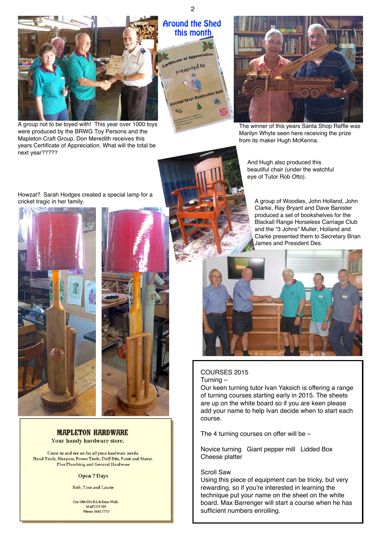

Around the Shed this month



A group not to be toyed with! This year over 1000 toys were produced by the BRWG Toy Persons and the Mapleton Craft Group. Don Meredith receives this years Certificate of Appreciation. What will the total be next year?????



The winner of this years Santa Shop Raffle was Marilyn Whyte seen here receiving the prize from its maker Hugh McKenna.

And Hugh also produced this beautiful chair (under the watchful eye of Tutor Rob Otto).

A group of Woodies, John Holland, John Clarke, Ray Bryant and Dave Banister produced a set of bookshelves for the Blackall Range Horseless Carriage Club and the "3 Johns" Muller, Holland and Clarke presented them to Secretary Brian James and President Des.



#### COURSES 2015 Turning –

Our keen turning tutor Ivan Yaksich is offering a range of turning courses starting early in 2015. The sheets are up on the white board so if you are keen please add your name to help Ivan decide when to start each course.

The 4 turning courses on offer will be –

Novice turning Giant pepper mill Lidded Box Cheese platter

#### Scroll Saw

Using this piece of equipment can be tricky, but very rewarding, so if you're interested in learning the technique put your name on the sheet on the white board. Max Barrenger will start a course when he has sufficient numbers enrolling.

Howzat? Sarah Hodges created a special lamp for a cricket tragic in her family.





### **MAPLETON HARDWARE** Your handy hardware store.

Come in and see us for all your hardware needs. Hand Tools, Sleepers, Power Tools, Drill Bits, Paint and Stains. Plus Plumbing and General Hardware

#### **Open 7 Days**

Rob, Toni and Laurie

Cm Obi Obi Rd & Emu Walk **MAPLETON** Phone 5445 7773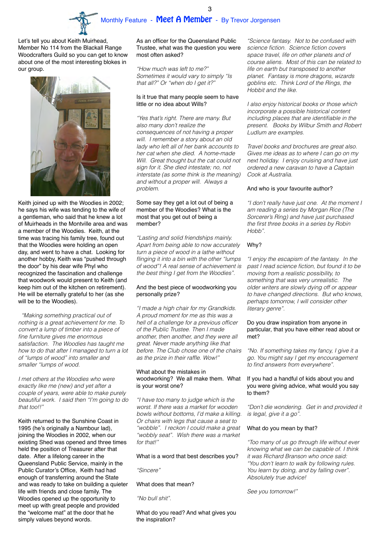

Let's tell you about Keith Muirhead, Member No 114 from the Blackall Range Woodcrafters Guild so you can get to know about one of the most interesting blokes in our group.



Keith joined up with the Woodies in 2002; he says his wife was tending to the wife of a gentleman, who said that he knew a lot of Muirheads in the Montville area and was a member of the Woodies. Keith, at the time was tracing his family tree, found out that the Woodies were holding an open day, and went to have a chat. Looking for another hobby, Keith was "pushed through the door" by his dear wife Phyl who recognized the fascination and challenge that woodwork would present to Keith (and keep him out of the kitchen on retirement). He will be eternally grateful to her (as she will be to the Woodies).

 *"Making something practical out of nothing is a great achievement for me. To convert a lump of timber into a piece of fine furniture gives me enormous satisfaction. The Woodies has taught me how to do that after I managed to turn a lot of "lumps of wood" into smaller and smaller "lumps of wood.* 

*I met others at the Woodies who were exactly like me (new) and yet after a couple of years, were able to make purely beautiful work. I said then "I'm going to do that too!!"*

Keith returned to the Sunshine Coast in 1995 (he's originally a Nambour lad), joining the Woodies in 2002, when our existing Shed was opened and three times held the position of Treasurer after that date. After a lifelong career in the Queensland Public Service, mainly in the Public Curator's Office, Keith had had enough of transferring around the State and was ready to take on building a quieter life with friends and close family. The Woodies opened up the opportunity to meet up with great people and provided the "welcome mat" at the door that he simply values beyond words.

As an officer for the Queensland Public Trustee, what was the question you were most often asked?

*"How much was left to me?" Sometimes it would vary to simply "Is that all?" Or "when do I get it?"*

#### Is it true that many people seem to have little or no idea about Wills?

*"Yes that's right. There are many. But also many don't realize the consequences of not having a proper will. I remember a story about an old lady who left all of her bank accounts to her cat when she died. A home-made Will. Great thought but the cat could not sign for it. She died intestate; no, not interstate (as some think is the meaning) and without a proper will. Always a problem.*

#### Some say they get a lot out of being a member of the Woodies? What is the most that you get out of being a member?

*"Lasting and solid friendships mainly. Apart from being able to now accurately turn a piece of wood in a lathe without flinging it into a bin with the other "lumps of wood"! A real sense of achievement is the best thing I get from the Woodies".*

#### And the best piece of woodworking you personally prize?

*"I made a high chair for my Grandkids. A proud moment for me as this was a hell of a challenge for a previous officer of the Public Trustee. Then I made another, then another, and they were all great. Never made anything like that before. The Club chose one of the chairs as the prize in their raffle. Wow!"*

#### What about the mistakes in woodworking? We all make them. What is your worst one?

*"I have too many to judge which is the worst. If there was a market for wooden bowls without bottoms, I'd make a killing. Or chairs with legs that cause a seat to "wobble". I reckon I could make a great "wobbly seat". Wish there was a market for that!"*

#### What is a word that best describes you?

*"Sincere"*

#### What does that mean?

*"No bull shit".*

What do you read? And what gives you the inspiration?

*"Science fantasy. Not to be confused with science fiction. Science fiction covers space travel, life on other planets and of course aliens. Most of this can be related to life on earth but transposed to another planet. Fantasy is more dragons, wizards goblins etc. Think Lord of the Rings, the Hobbit and the like.*

*I also enjoy historical books or those which incorporate a possible historical content including places that are identifiable in the present. Books by Wilbur Smith and Robert Ludlum are examples.*

*Travel books and brochures are great also. Gives me ideas as to where I can go on my next holiday. I enjoy cruising and have just ordered a new caravan to have a Captain Cook at Australia.*

#### And who is your favourite author?

*"I don't really have just one. At the moment I am reading a series by Morgan Rice (The Sorcerer's Ring) and have just purchased the first three books in a series by Robin Hobb".*

#### Why?

*"I enjoy the escapism of the fantasy. In the past I read science fiction, but found it to be moving from a realistic possibility, to something that was very unrealistic. The older writers are slowly dying off or appear to have changed directions. But who knows, perhaps tomorrow, I will consider other literary genre".*

#### Do you draw inspiration from anyone in particular, that you have either read about or met?

*"No. If something takes my fancy, I give it a go. You might say I get my encouragement to find answers from everywhere".*

#### If you had a handful of kids about you and you were giving advice, what would you say to them?

*"Don't die wondering. Get in and provided it is legal, give it a go".*

#### What do you mean by that?

*"Too many of us go through life without ever knowing what we can be capable of. I think it was Richard Branson who once said: "You don't learn to walk by following rules. You learn by doing, and by falling over". Absolutely true advice!*

*See you tomorrow!"*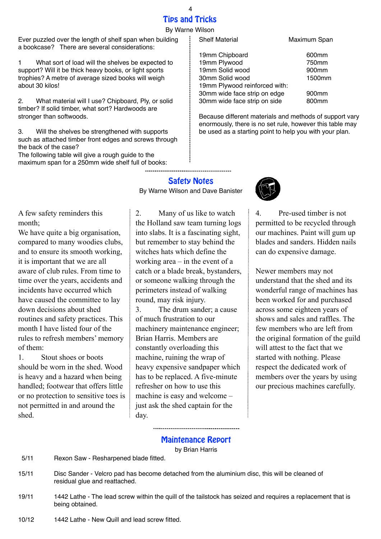# Tips and Tricks 4

### By Warne Wilson

Ever puzzled over the length of shelf span when building a bookcase? There are several considerations:

1 What sort of load will the shelves be expected to support? Will it be thick heavy books, or light sports trophies? A metre of average sized books will weigh about 30 kilos!

2. What material will I use? Chipboard, Ply, or solid timber? If solid timber, what sort? Hardwoods are stronger than softwoods.

3. Will the shelves be strengthened with supports such as attached timber front edges and screws through the back of the case?

The following table will give a rough guide to the maximum span for a 250mm wide shelf full of books:

| <b>Shelf Material</b>         | Maximum Span      |  |  |  |  |
|-------------------------------|-------------------|--|--|--|--|
| 19mm Chipboard                | 600mm             |  |  |  |  |
| 19mm Plywood                  | 750mm             |  |  |  |  |
| 19mm Solid wood               | 900 <sub>mm</sub> |  |  |  |  |
| 30mm Solid wood               | 1500mm            |  |  |  |  |
| 19mm Plywood reinforced with: |                   |  |  |  |  |
| 30mm wide face strip on edge  | 900mm             |  |  |  |  |
| 30mm wide face strip on side  | 800mm             |  |  |  |  |

Because different materials and methods of support vary enormously, there is no set rule, however this table may be used as a starting point to help you with your plan.

### Safety Notes

By Warne Wilson and Dave Banister



Pre-used timber is not permitted to be recycled through our machines. Paint will gum up blades and sanders. Hidden nails can do expensive damage.

Newer members may not understand that the shed and its wonderful range of machines has been worked for and purchased across some eighteen years of shows and sales and raffles. The few members who are left from the original formation of the guild will attest to the fact that we started with nothing. Please respect the dedicated work of members over the years by using our precious machines carefully.

A few safety reminders this month;

We have quite a big organisation, compared to many woodies clubs, and to ensure its smooth working, it is important that we are all aware of club rules. From time to time over the years, accidents and incidents have occurred which have caused the committee to lay down decisions about shed routines and safety practices. This month I have listed four of the rules to refresh members' memory of them:

1. Stout shoes or boots should be worn in the shed. Wood is heavy and a hazard when being handled; footwear that offers little or no protection to sensitive toes is not permitted in and around the shed.

2. Many of us like to watch the Holland saw team turning logs into slabs. It is a fascinating sight, but remember to stay behind the witches hats which define the working area – in the event of a catch or a blade break, bystanders, or someone walking through the perimeters instead of walking round, may risk injury.

3. The drum sander; a cause of much frustration to our machinery maintenance engineer; Brian Harris. Members are constantly overloading this machine, ruining the wrap of heavy expensive sandpaper which has to be replaced. A five-minute refresher on how to use this machine is easy and welcome – just ask the shed captain for the day.

# Maintenance Report

by Brian Harris

- 5/11 Rexon Saw Resharpened blade fitted.
- 15/11 Disc Sander Velcro pad has become detached from the aluminium disc, this will be cleaned of residual glue and reattached.
- 19/11 1442 Lathe The lead screw within the quill of the tailstock has seized and requires a replacement that is being obtained.
- 10/12 1442 Lathe New Quill and lead screw fitted.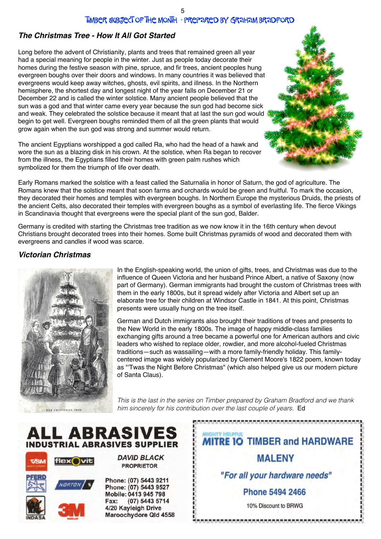Timber Subject of the Month - prepared by Graham Bradford

## *The Christmas Tree - How It All Got Started*

Long before the advent of Christianity, plants and trees that remained green all year had a special meaning for people in the winter. Just as people today decorate their homes during the festive season with pine, spruce, and fir trees, ancient peoples hung evergreen boughs over their doors and windows. In many countries it was believed that evergreens would keep away witches, ghosts, evil spirits, and illness. In the Northern hemisphere, the shortest day and longest night of the year falls on December 21 or December 22 and is called the winter solstice. Many ancient people believed that the sun was a god and that winter came every year because the sun god had become sick and weak. They celebrated the solstice because it meant that at last the sun god would begin to get well. Evergreen boughs reminded them of all the green plants that would grow again when the sun god was strong and summer would return.

The ancient Egyptians worshipped a god called Ra, who had the head of a hawk and wore the sun as a blazing disk in his crown. At the solstice, when Ra began to recover from the illness, the Egyptians filled their homes with green palm rushes which symbolized for them the triumph of life over death.

Early Romans marked the solstice with a feast called the Saturnalia in honor of Saturn, the god of agriculture. The Romans knew that the solstice meant that soon farms and orchards would be green and fruitful. To mark the occasion, they decorated their homes and temples with evergreen boughs. In Northern Europe the mysterious Druids, the priests of the ancient Celts, also decorated their temples with evergreen boughs as a symbol of everlasting life. The fierce Vikings in Scandinavia thought that evergreens were the special plant of the sun god, Balder.

Germany is credited with starting the Christmas tree tradition as we now know it in the 16th century when devout Christians brought decorated trees into their homes. Some built Christmas pyramids of wood and decorated them with evergreens and candles if wood was scarce.

### *Victorian Christmas*



In the English-speaking world, the union of gifts, trees, and Christmas was due to the influence of Queen Victoria and her husband Prince Albert, a native of Saxony (now part of Germany). German immigrants had brought the custom of Christmas trees with them in the early 1800s, but it spread widely after Victoria and Albert set up an elaborate tree for their children at Windsor Castle in 1841. At this point, Christmas presents were usually hung on the tree itself.

German and Dutch immigrants also brought their traditions of trees and presents to the New World in the early 1800s. The image of happy middle-class families exchanging gifts around a tree became a powerful one for American authors and civic leaders who wished to replace older, rowdier, and more alcohol-fueled Christmas traditions—such as wassailing—with a more family-friendly holiday. This familycentered image was widely popularized by Clement Moore's 1822 poem, known today as "'Twas the Night Before Christmas" (which also helped give us our modern picture of Santa Claus).

*This is the last in the series on Timber prepared by Graham Bradford and we thank him sincerely for his contribution over the last couple of years.* Ed







Phone: (07) 5443 9211 Phone: (07) 5443 9527 Mobile: 0413 945 798 Fax: (07) 5443 5714 4/20 Kayleigh Drive Maroochydore Qld 4558

**DAVID BLACK** 

**PROPRIETOR**